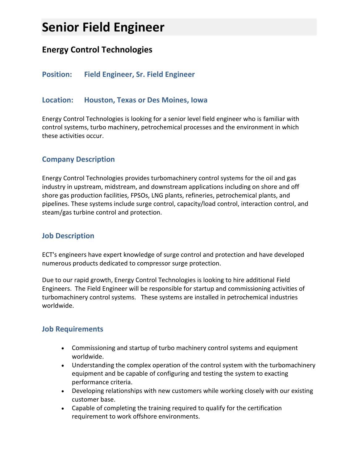# **Senior Field Engineer**

# **Energy Control Technologies**

## **Position: Field Engineer, Sr. Field Engineer**

#### **Location: Houston, Texas or Des Moines, Iowa**

Energy Control Technologies is looking for a senior level field engineer who is familiar with control systems, turbo machinery, petrochemical processes and the environment in which these activities occur.

## **Company Description**

Energy Control Technologies provides turbomachinery control systems for the oil and gas industry in upstream, midstream, and downstream applications including on shore and off shore gas production facilities, FPSOs, LNG plants, refineries, petrochemical plants, and pipelines. These systems include surge control, capacity/load control, interaction control, and steam/gas turbine control and protection.

#### **Job Description**

ECT's engineers have expert knowledge of surge control and protection and have developed numerous products dedicated to compressor surge protection.

Due to our rapid growth, Energy Control Technologies is looking to hire additional Field Engineers. The Field Engineer will be responsible for startup and commissioning activities of turbomachinery control systems. These systems are installed in petrochemical industries worldwide.

#### **Job Requirements**

- Commissioning and startup of turbo machinery control systems and equipment worldwide.
- Understanding the complex operation of the control system with the turbomachinery equipment and be capable of configuring and testing the system to exacting performance criteria.
- Developing relationships with new customers while working closely with our existing customer base.
- Capable of completing the training required to qualify for the certification requirement to work offshore environments.